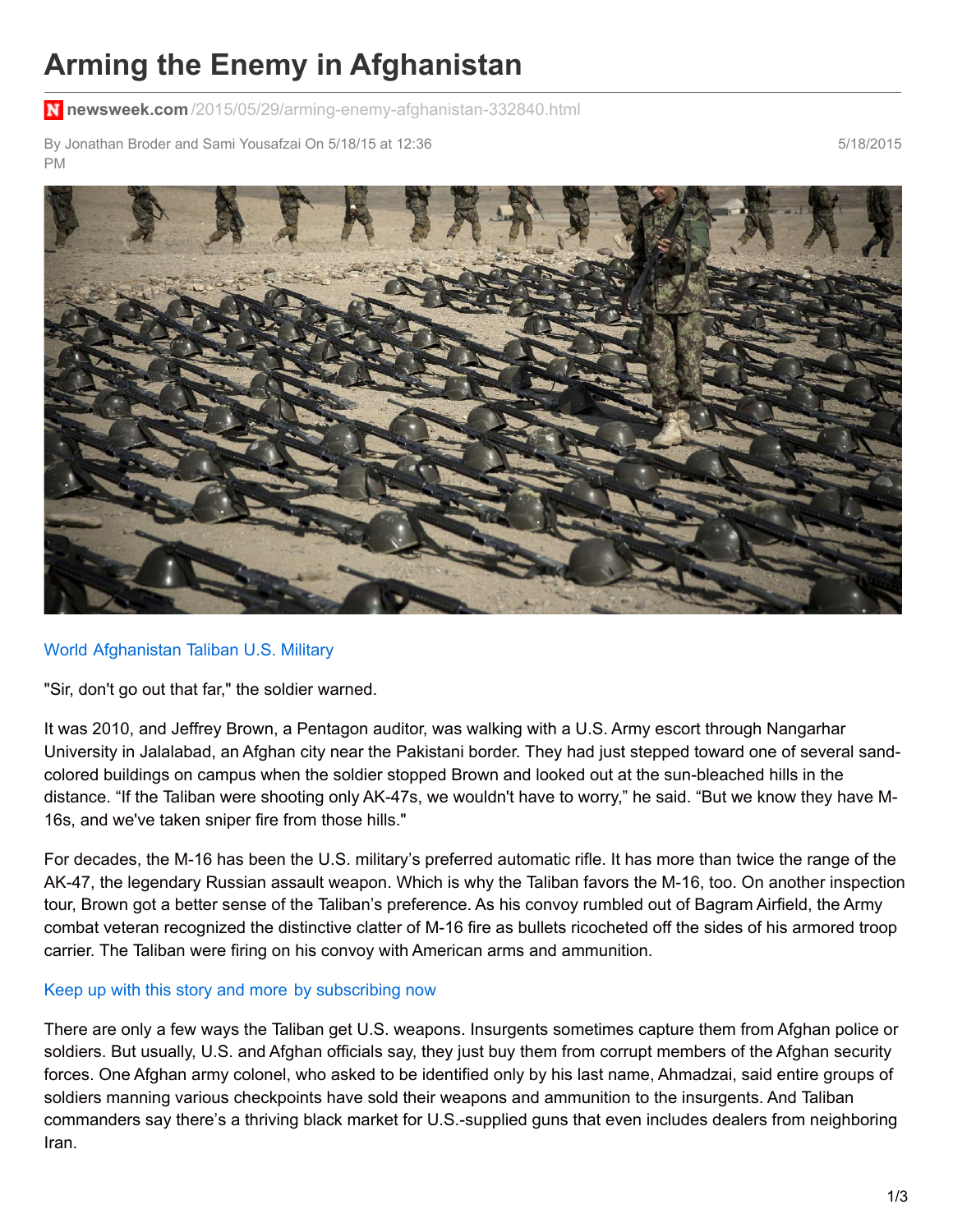## **Arming the Enemy in Afghanistan**

**newsweek.com** [/2015/05/29/arming-enemy-afghanistan-332840.html](http://www.newsweek.com/2015/05/29/arming-enemy-afghanistan-332840.html)

By Jonathan Broder and Sami Yousafzai On 5/18/15 at 12:36 PM

5/18/2015



## [World](http://www.newsweek.com/world) [Afghanistan](http://www.newsweek.com/topic/afghanistan) [Taliban](http://www.newsweek.com/topic/taliban) U.S. [Military](http://www.newsweek.com/topic/u.s.-military)

"Sir, don't go out that far," the soldier warned.

It was 2010, and Jeffrey Brown, a Pentagon auditor, was walking with a U.S. Army escort through Nangarhar University in Jalalabad, an Afghan city near the Pakistani border. They had just stepped toward one of several sandcolored buildings on campus when the soldier stopped Brown and looked out at the sun-bleached hills in the distance. "If the Taliban were shooting only AK-47s, we wouldn't have to worry," he said. "But we know they have M-16s, and we've taken sniper fire from those hills."

For decades, the M-16 has been the U.S. military's preferred automatic rifle. It has more than twice the range of the AK-47, the legendary Russian assault weapon. Which is why the Taliban favors the M-16, too. On another inspection tour, Brown got a better sense of the Taliban's preference. As his convoy rumbled out of Bagram Airfield, the Army combat veteran recognized the distinctive clatter of M-16 fire as bullets ricocheted off the sides of his armored troop carrier. The Taliban were firing on his convoy with American arms and ammunition.

## Keep up with this story and more by [subscribing](https://subscription.newsweek.com/subscribe?utm_source=NWwebsite&utm_campaign=subscribe&utm_medium=in-article-daily#12months) now

There are only a few ways the Taliban get U.S. weapons. Insurgents sometimes capture them from Afghan police or soldiers. But usually, U.S. and Afghan officials say, they just buy them from corrupt members of the Afghan security forces. One Afghan army colonel, who asked to be identified only by his last name, Ahmadzai, said entire groups of soldiers manning various checkpoints have sold their weapons and ammunition to the insurgents. And Taliban commanders say there's a thriving black market for U.S.-supplied guns that even includes dealers from neighboring Iran.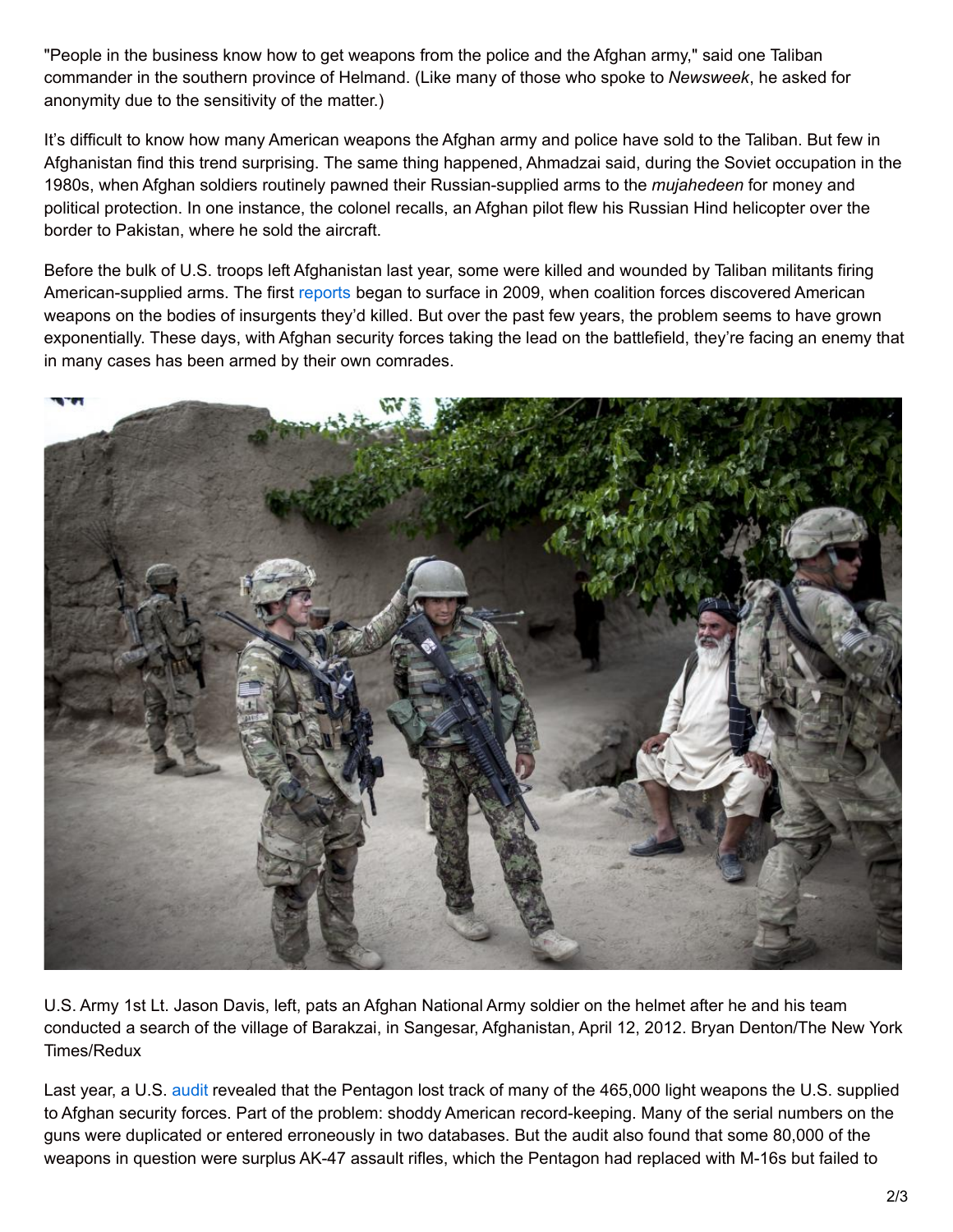"People in the business know how to get weapons from the police and the Afghan army," said one Taliban commander in the southern province of Helmand. (Like many of those who spoke to *Newsweek*, he asked for anonymity due to the sensitivity of the matter.)

It's difficult to know how many American weapons the Afghan army and police have sold to the Taliban. But few in Afghanistan find this trend surprising. The same thing happened, Ahmadzai said, during the Soviet occupation in the 1980s, when Afghan soldiers routinely pawned their Russian-supplied arms to the *mujahedeen* for money and political protection. In one instance, the colonel recalls, an Afghan pilot flew his Russian Hind helicopter over the border to Pakistan, where he sold the aircraft.

Before the bulk of U.S. troops left Afghanistan last year, some were killed and wounded by Taliban militants firing American-supplied arms. The first [reports](http://www.nytimes.com/2009/05/20/world/asia/20ammo.html?pagewanted=all) began to surface in 2009, when coalition forces discovered American weapons on the bodies of insurgents they'd killed. But over the past few years, the problem seems to have grown exponentially. These days, with Afghan security forces taking the lead on the battlefield, they're facing an enemy that in many cases has been armed by their own comrades.



U.S. Army 1st Lt. Jason Davis, left, pats an Afghan National Army soldier on the helmet after he and his team conducted a search of the village of Barakzai, in Sangesar, Afghanistan, April 12, 2012. Bryan Denton/The New York Times/Redux

Last year, a U.S. [audit](https://www.sigar.mil/pdf/audits/SIGAR-14-84-AR.pdf) revealed that the Pentagon lost track of many of the 465,000 light weapons the U.S. supplied to Afghan security forces. Part of the problem: shoddy American record-keeping. Many of the serial numbers on the guns were duplicated or entered erroneously in two databases. But the audit also found that some 80,000 of the weapons in question were surplus AK-47 assault rifles, which the Pentagon had replaced with M-16s but failed to